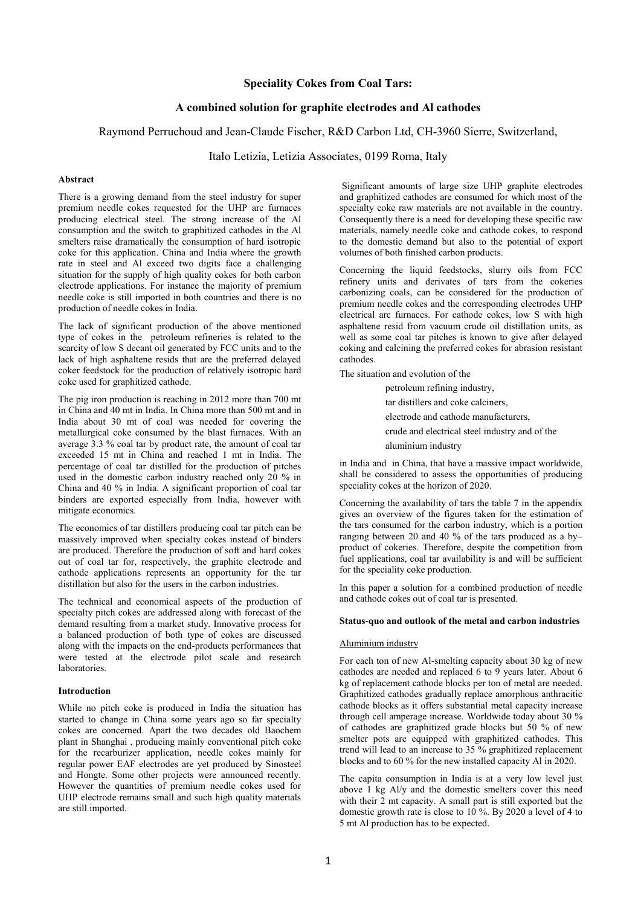# **Speciality Cokes from Coal Tars:**

# **A combined solution for graphite electrodes and Al cathodes**

## Raymond Perruchoud and Jean-Claude Fischer, R&D Carbon Ltd, CH-3960 Sierre, Switzerland,

Italo Letizia, Letizia Associates, 0199 Roma, Italy

### **Abstract**

There is a growing demand from the steel industry for super premium needle cokes requested for the UHP arc furnaces producing electrical steel. The strong increase of the Al consumption and the switch to graphitized cathodes in the Al smelters raise dramatically the consumption of hard isotropic coke for this application. China and India where the growth rate in steel and Al exceed two digits face a challenging situation for the supply of high quality cokes for both carbon electrode applications. For instance the majority of premium needle coke is still imported in both countries and there is no production of needle cokes in India.

The lack of significant production of the above mentioned type of cokes in the petroleum refineries is related to the scarcity of low S decant oil generated by FCC units and to the lack of high asphaltene resids that are the preferred delayed coker feedstock for the production of relatively isotropic hard coke used for graphitized cathode.

The pig iron production is reaching in 2012 more than 700 mt in China and 40 mt in India. In China more than 500 mt and in India about 30 mt of coal was needed for covering the metallurgical coke consumed by the blast furnaces. With an average 3.3 % coal tar by product rate, the amount of coal tar exceeded 15 mt in China and reached 1 mt in India. The percentage of coal tar distilled for the production of pitches used in the domestic carbon industry reached only 20 % in China and 40 % in India. A significant proportion of coal tar binders are exported especially from India, however with mitigate economics.

The economics of tar distillers producing coal tar pitch can be massively improved when specialty cokes instead of binders are produced. Therefore the production of soft and hard cokes out of coal tar for, respectively, the graphite electrode and cathode applications represents an opportunity for the tar distillation but also for the users in the carbon industries.

The technical and economical aspects of the production of specialty pitch cokes are addressed along with forecast of the demand resulting from a market study. Innovative process for a balanced production of both type of cokes are discussed along with the impacts on the end-products performances that were tested at the electrode pilot scale and research laboratories.

#### **Introduction**

While no pitch coke is produced in India the situation has started to change in China some years ago so far specialty cokes are concerned. Apart the two decades old Baochem plant in Shanghai , producing mainly conventional pitch coke for the recarburizer application, needle cokes mainly for regular power EAF electrodes are yet produced by Sinosteel and Hongte. Some other projects were announced recently. However the quantities of premium needle cokes used for UHP electrode remains small and such high quality materials are still imported.

Significant amounts of large size UHP graphite electrodes and graphitized cathodes are consumed for which most of the specialty coke raw materials are not available in the country. Consequently there is a need for developing these specific raw materials, namely needle coke and cathode cokes, to respond to the domestic demand but also to the potential of export volumes of both finished carbon products.

Concerning the liquid feedstocks, slurry oils from FCC refinery units and derivates of tars from the cokeries carbonizing coals, can be considered for the production of premium needle cokes and the corresponding electrodes UHP electrical arc furnaces. For cathode cokes, low S with high asphaltene resid from vacuum crude oil distillation units, as well as some coal tar pitches is known to give after delayed coking and calcining the preferred cokes for abrasion resistant cathodes.

The situation and evolution of the

petroleum refining industry, tar distillers and coke calciners, electrode and cathode manufacturers, crude and electrical steel industry and of the aluminium industry

in India and in China, that have a massive impact worldwide, shall be considered to assess the opportunities of producing speciality cokes at the horizon of 2020.

Concerning the availability of tars the table 7 in the appendix gives an overview of the figures taken for the estimation of the tars consumed for the carbon industry, which is a portion ranging between 20 and 40 % of the tars produced as a by– product of cokeries. Therefore, despite the competition from fuel applications, coal tar availability is and will be sufficient for the speciality coke production.

In this paper a solution for a combined production of needle and cathode cokes out of coal tar is presented.

#### **Status-quo and outlook of the metal and carbon industries**

## Aluminium industry

For each ton of new Al-smelting capacity about 30 kg of new cathodes are needed and replaced  $\vec{6}$  to 9 years later. About 6 kg of replacement cathode blocks per ton of metal are needed. Graphitized cathodes gradually replace amorphous anthracitic cathode blocks as it offers substantial metal capacity increase through cell amperage increase. Worldwide today about 30 % of cathodes are graphitized grade blocks but 50 % of new smelter pots are equipped with graphitized cathodes. This trend will lead to an increase to 35 % graphitized replacement blocks and to 60 % for the new installed capacity Al in 2020.

The capita consumption in India is at a very low level just above 1 kg Al/y and the domestic smelters cover this need with their 2 mt capacity. A small part is still exported but the domestic growth rate is close to 10 %. By 2020 a level of 4 to 5 mt Al production has to be expected.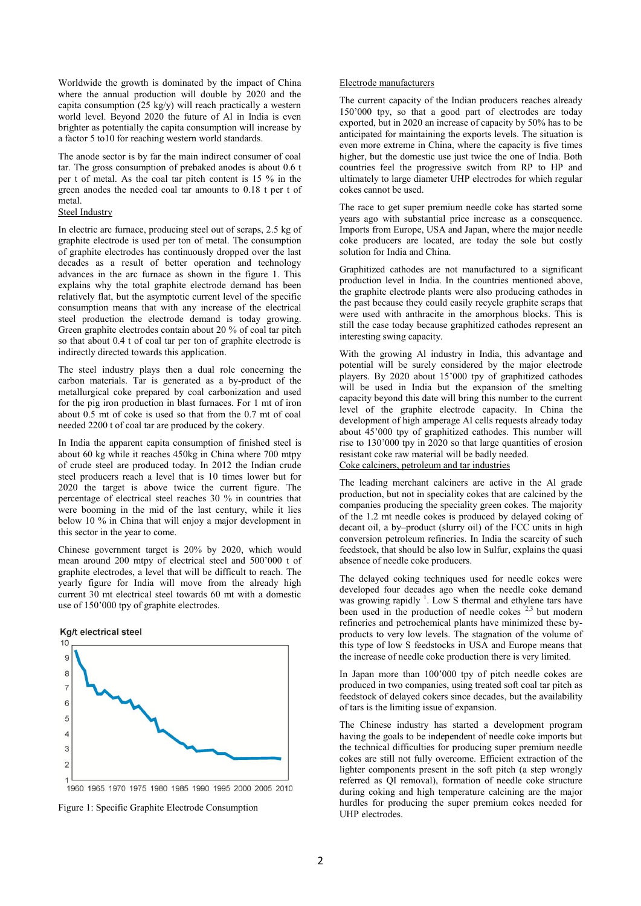Worldwide the growth is dominated by the impact of China where the annual production will double by 2020 and the capita consumption (25 kg/y) will reach practically a western world level. Beyond 2020 the future of Al in India is even brighter as potentially the capita consumption will increase by a factor 5 to10 for reaching western world standards.

The anode sector is by far the main indirect consumer of coal tar. The gross consumption of prebaked anodes is about 0.6 t per t of metal. As the coal tar pitch content is 15 % in the green anodes the needed coal tar amounts to 0.18 t per t of metal.

# Steel Industry

In electric arc furnace, producing steel out of scraps, 2.5 kg of graphite electrode is used per ton of metal. The consumption of graphite electrodes has continuously dropped over the last decades as a result of better operation and technology advances in the arc furnace as shown in the figure 1. This explains why the total graphite electrode demand has been relatively flat, but the asymptotic current level of the specific consumption means that with any increase of the electrical steel production the electrode demand is today growing. Green graphite electrodes contain about 20 % of coal tar pitch so that about 0.4 t of coal tar per ton of graphite electrode is indirectly directed towards this application.

The steel industry plays then a dual role concerning the carbon materials. Tar is generated as a by-product of the metallurgical coke prepared by coal carbonization and used for the pig iron production in blast furnaces. For 1 mt of iron about 0.5 mt of coke is used so that from the 0.7 mt of coal needed 2200 t of coal tar are produced by the cokery.

In India the apparent capita consumption of finished steel is about 60 kg while it reaches 450kg in China where 700 mtpy of crude steel are produced today. In 2012 the Indian crude steel producers reach a level that is 10 times lower but for 2020 the target is above twice the current figure. The percentage of electrical steel reaches 30 % in countries that were booming in the mid of the last century, while it lies below 10 % in China that will enjoy a major development in this sector in the year to come.

Chinese government target is 20% by 2020, which would mean around 200 mtpy of electrical steel and 500'000 t of graphite electrodes, a level that will be difficult to reach. The yearly figure for India will move from the already high current 30 mt electrical steel towards 60 mt with a domestic use of 150'000 tpy of graphite electrodes.





Figure 1: Specific Graphite Electrode Consumption

#### Electrode manufacturers

The current capacity of the Indian producers reaches already 150'000 tpy, so that a good part of electrodes are today exported, but in 2020 an increase of capacity by 50% has to be anticipated for maintaining the exports levels. The situation is even more extreme in China, where the capacity is five times higher, but the domestic use just twice the one of India. Both countries feel the progressive switch from RP to HP and ultimately to large diameter UHP electrodes for which regular cokes cannot be used.

The race to get super premium needle coke has started some years ago with substantial price increase as a consequence. Imports from Europe, USA and Japan, where the major needle coke producers are located, are today the sole but costly solution for India and China.

Graphitized cathodes are not manufactured to a significant production level in India. In the countries mentioned above, the graphite electrode plants were also producing cathodes in the past because they could easily recycle graphite scraps that were used with anthracite in the amorphous blocks. This is still the case today because graphitized cathodes represent an interesting swing capacity.

With the growing Al industry in India, this advantage and potential will be surely considered by the major electrode players. By 2020 about 15'000 tpy of graphitized cathodes will be used in India but the expansion of the smelting capacity beyond this date will bring this number to the current level of the graphite electrode capacity. In China the development of high amperage Al cells requests already today about 45'000 tpy of graphitized cathodes. This number will rise to 130'000 tpy in 2020 so that large quantities of erosion resistant coke raw material will be badly needed. Coke calciners, petroleum and tar industries

The leading merchant calciners are active in the Al grade production, but not in speciality cokes that are calcined by the companies producing the speciality green cokes. The majority of the 1.2 mt needle cokes is produced by delayed coking of decant oil, a by–product (slurry oil) of the FCC units in high conversion petroleum refineries. In India the scarcity of such feedstock, that should be also low in Sulfur, explains the quasi absence of needle coke producers.

The delayed coking techniques used for needle cokes were developed four decades ago when the needle coke demand was growing rapidly <sup>1</sup>. Low S thermal and ethylene tars have been used in the production of needle cokes  $2,3$  but modern refineries and petrochemical plants have minimized these byproducts to very low levels. The stagnation of the volume of this type of low S feedstocks in USA and Europe means that the increase of needle coke production there is very limited.

In Japan more than 100'000 tpy of pitch needle cokes are produced in two companies, using treated soft coal tar pitch as feedstock of delayed cokers since decades, but the availability of tars is the limiting issue of expansion.

The Chinese industry has started a development program having the goals to be independent of needle coke imports but the technical difficulties for producing super premium needle cokes are still not fully overcome. Efficient extraction of the lighter components present in the soft pitch (a step wrongly referred as QI removal), formation of needle coke structure during coking and high temperature calcining are the major hurdles for producing the super premium cokes needed for UHP electrodes.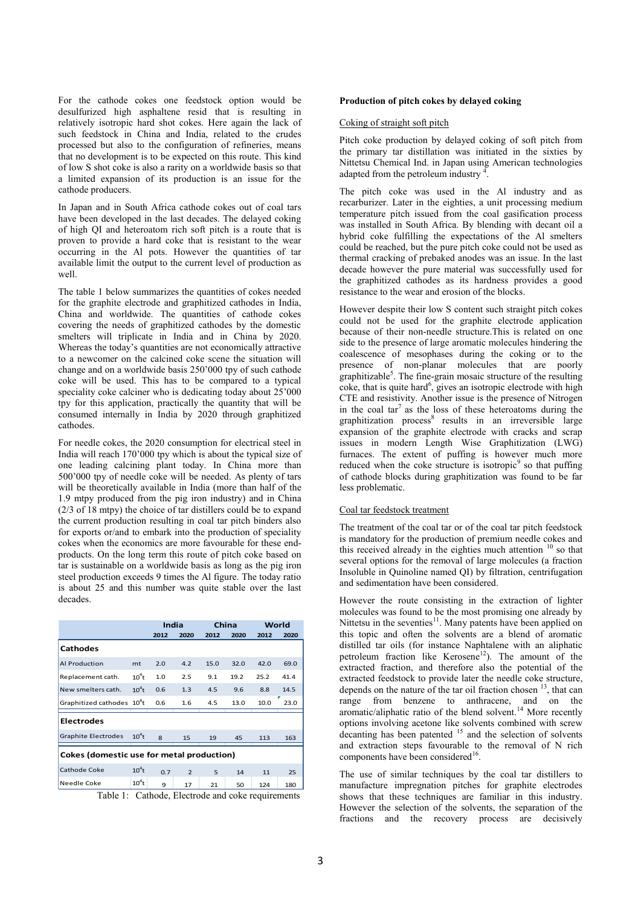For the cathode cokes one feedstock option would be desulfurized high asphaltene resid that is resulting in relatively isotropic hard shot cokes. Here again the lack of such feedstock in China and India, related to the crudes processed but also to the configuration of refineries, means that no development is to be expected on this route. This kind of low S shot coke is also a rarity on a worldwide basis so that a limited expansion of its production is an issue for the cathode producers.

In Japan and in South Africa cathode cokes out of coal tars have been developed in the last decades. The delayed coking of high QI and heteroatom rich soft pitch is a route that is proven to provide a hard coke that is resistant to the wear occurring in the Al pots. However the quantities of tar available limit the output to the current level of production as well.

The table 1 below summarizes the quantities of cokes needed for the graphite electrode and graphitized cathodes in India, China and worldwide. The quantities of cathode cokes covering the needs of graphitized cathodes by the domestic smelters will triplicate in India and in China by 2020. Whereas the today's quantities are not economically attractive to a newcomer on the calcined coke scene the situation will change and on a worldwide basis 250'000 tpy of such cathode coke will be used. This has to be compared to a typical speciality coke calciner who is dedicating today about 25'000 tpy for this application, practically the quantity that will be consumed internally in India by 2020 through graphitized cathodes.

For needle cokes, the 2020 consumption for electrical steel in India will reach 170'000 tpy which is about the typical size of one leading calcining plant today. In China more than 500'000 tpy of needle coke will be needed. As plenty of tars will be theoretically available in India (more than half of the 1.9 mtpy produced from the pig iron industry) and in China (2/3 of 18 mtpy) the choice of tar distillers could be to expand the current production resulting in coal tar pitch binders also for exports or/and to embark into the production of speciality cokes when the economics are more favourable for these endproducts. On the long term this route of pitch coke based on tar is sustainable on a worldwide basis as long as the pig iron steel production exceeds 9 times the Al figure. The today ratio is about 25 and this number was quite stable over the last decades.

|                                           |          | India |                |      | China | World |      |  |  |  |  |
|-------------------------------------------|----------|-------|----------------|------|-------|-------|------|--|--|--|--|
|                                           |          | 2012  | 2020           | 2012 | 2020  | 2012  | 2020 |  |  |  |  |
| <b>Cathodes</b>                           |          |       |                |      |       |       |      |  |  |  |  |
| Al Production                             | mt       | 2.0   | 4.2            | 15.0 | 32.0  | 42.0  | 69.0 |  |  |  |  |
| Replacement cath.                         | $104$ t  | 1.0   | 2.5            | 9.1  | 19.2  | 25.2  | 41.4 |  |  |  |  |
| New smelters cath.                        | $104$ t  | 0.6   | 1.3            | 4.5  | 9.6   | 8.8   | 14.5 |  |  |  |  |
| Graphitized cathodes 10 <sup>4</sup> t    |          | 0.6   | 1.6            | 4.5  | 13.0  | 10.0  | 23.0 |  |  |  |  |
| <b>Electrodes</b>                         |          |       |                |      |       |       |      |  |  |  |  |
| <b>Graphite Electrodes</b>                | $104$ t  | 8     | 15             | 19   | 45    | 113   | 163  |  |  |  |  |
| Cokes (domestic use for metal production) |          |       |                |      |       |       |      |  |  |  |  |
| Cathode Coke                              | $10^4$ t | 0.7   | $\overline{2}$ | 5    | 14    | 11    | 25   |  |  |  |  |
| Needle Coke                               | $10^4$ t | 9     | 17             | 21   | 50    | 124   | 180  |  |  |  |  |

Table 1: Cathode, Electrode and coke requirements

## **Production of pitch cokes by delayed coking**

### Coking of straight soft pitch

Pitch coke production by delayed coking of soft pitch from the primary tar distillation was initiated in the sixties by Nittetsu Chemical Ind. in Japan using American technologies adapted from the petroleum industry .

The pitch coke was used in the Al industry and as recarburizer. Later in the eighties, a unit processing medium temperature pitch issued from the coal gasification process was installed in South Africa. By blending with decant oil a hybrid coke fulfilling the expectations of the Al smelters could be reached, but the pure pitch coke could not be used as thermal cracking of prebaked anodes was an issue. In the last decade however the pure material was successfully used for the graphitized cathodes as its hardness provides a good resistance to the wear and erosion of the blocks.

However despite their low S content such straight pitch cokes could not be used for the graphite electrode application because of their non-needle structure.This is related on one side to the presence of large aromatic molecules hindering the coalescence of mesophases during the coking or to the presence of non-planar molecules that are poorly  $graphitzable<sup>5</sup>$ . The fine-grain mosaic structure of the resulting  $\overline{c}$  coke, that is quite hard<sup>6</sup>, gives an isotropic electrode with high CTE and resistivity. Another issue is the presence of Nitrogen in the coal  $\tan^7$  as the loss of these heteroatoms during the graphitization process<sup>8</sup> results in an irreversible large expansion of the graphite electrode with cracks and scrap issues in modern Length Wise Graphitization (LWG) furnaces. The extent of puffing is however much more reduced when the coke structure is isotropic $9$  so that puffing of cathode blocks during graphitization was found to be far less problematic.

### Coal tar feedstock treatment

The treatment of the coal tar or of the coal tar pitch feedstock is mandatory for the production of premium needle cokes and this received already in the eighties much attention <sup>10</sup> so that several options for the removal of large molecules (a fraction Insoluble in Quinoline named QI) by filtration, centrifugation and sedimentation have been considered.

However the route consisting in the extraction of lighter molecules was found to be the most promising one already by Nittetsu in the seventies<sup>11</sup>. Many patents have been applied on this topic and often the solvents are a blend of aromatic distilled tar oils (for instance Naphtalene with an aliphatic petroleum fraction like Kerosene<sup>12</sup>). The amount of the extracted fraction, and therefore also the potential of the extracted feedstock to provide later the needle coke structure, depends on the nature of the tar oil fraction chosen  $^{13}$ , that can range from benzene to anthracene, and on the aromatic/aliphatic ratio of the blend solvent.<sup>14</sup> More recently options involving acetone like solvents combined with screw decanting has been patented <sup>15</sup> and the selection of solvents and extraction steps favourable to the removal of N rich components have been considered<sup>16</sup>.

The use of similar techniques by the coal tar distillers to manufacture impregnation pitches for graphite electrodes shows that these techniques are familiar in this industry. However the selection of the solvents, the separation of the fractions and the recovery process are decisively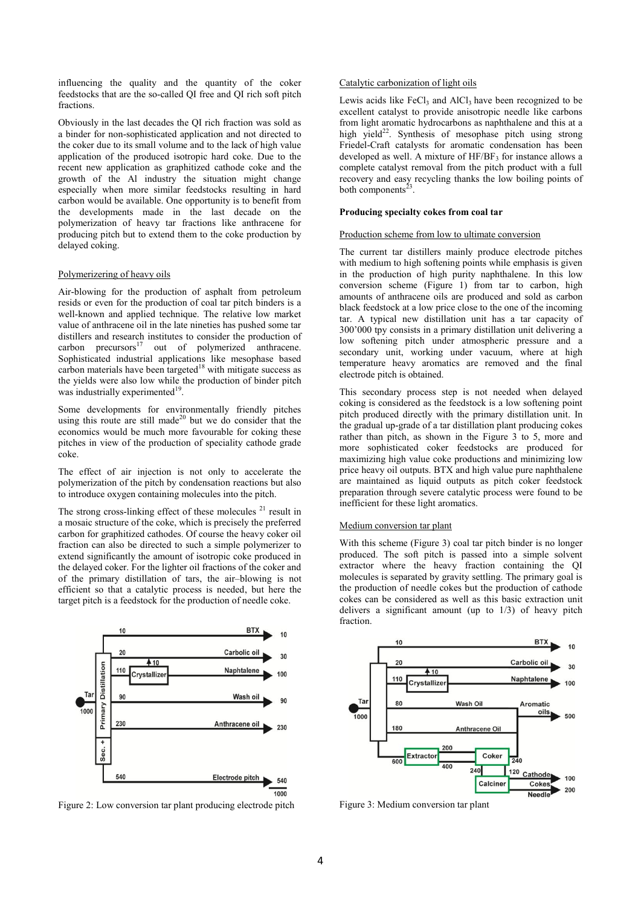influencing the quality and the quantity of the coker feedstocks that are the so-called QI free and QI rich soft pitch fractions.

Obviously in the last decades the QI rich fraction was sold as a binder for non-sophisticated application and not directed to the coker due to its small volume and to the lack of high value application of the produced isotropic hard coke. Due to the recent new application as graphitized cathode coke and the growth of the Al industry the situation might change especially when more similar feedstocks resulting in hard carbon would be available. One opportunity is to benefit from the developments made in the last decade on the polymerization of heavy tar fractions like anthracene for producing pitch but to extend them to the coke production by delayed coking.

### Polymerizering of heavy oils

Air-blowing for the production of asphalt from petroleum resids or even for the production of coal tar pitch binders is a well-known and applied technique. The relative low market value of anthracene oil in the late nineties has pushed some tar distillers and research institutes to consider the production of carbon precursors $17$ out of polymerized anthracene. Sophisticated industrial applications like mesophase based carbon materials have been targeted $18$  with mitigate success as the yields were also low while the production of binder pitch was industrially experimented<sup>19</sup>.

Some developments for environmentally friendly pitches using this route are still made<sup>20</sup> but we do consider that the economics would be much more favourable for coking these pitches in view of the production of speciality cathode grade coke.

The effect of air injection is not only to accelerate the polymerization of the pitch by condensation reactions but also to introduce oxygen containing molecules into the pitch.

The strong cross-linking effect of these molecules  $21$  result in a mosaic structure of the coke, which is precisely the preferred carbon for graphitized cathodes. Of course the heavy coker oil fraction can also be directed to such a simple polymerizer to extend significantly the amount of isotropic coke produced in the delayed coker. For the lighter oil fractions of the coker and of the primary distillation of tars, the air–blowing is not efficient so that a catalytic process is needed, but here the target pitch is a feedstock for the production of needle coke.



Figure 2: Low conversion tar plant producing electrode pitch

### Catalytic carbonization of light oils

Lewis acids like  $FeCl<sub>3</sub>$  and  $AlCl<sub>3</sub>$  have been recognized to be excellent catalyst to provide anisotropic needle like carbons from light aromatic hydrocarbons as naphthalene and this at a high yield<sup>22</sup>. Synthesis of mesophase pitch using strong Friedel-Craft catalysts for aromatic condensation has been developed as well. A mixture of  $HF/BF_3$  for instance allows a complete catalyst removal from the pitch product with a full recovery and easy recycling thanks the low boiling points of both components $2<sup>3</sup>$ .

# **Producing specialty cokes from coal tar**

## Production scheme from low to ultimate conversion

The current tar distillers mainly produce electrode pitches with medium to high softening points while emphasis is given in the production of high purity naphthalene. In this low conversion scheme (Figure 1) from tar to carbon, high amounts of anthracene oils are produced and sold as carbon black feedstock at a low price close to the one of the incoming tar. A typical new distillation unit has a tar capacity of 300'000 tpy consists in a primary distillation unit delivering a low softening pitch under atmospheric pressure and a secondary unit, working under vacuum, where at high temperature heavy aromatics are removed and the final electrode pitch is obtained.

This secondary process step is not needed when delayed coking is considered as the feedstock is a low softening point pitch produced directly with the primary distillation unit. In the gradual up-grade of a tar distillation plant producing cokes rather than pitch, as shown in the Figure 3 to 5, more and more sophisticated coker feedstocks are produced for maximizing high value coke productions and minimizing low price heavy oil outputs. BTX and high value pure naphthalene are maintained as liquid outputs as pitch coker feedstock preparation through severe catalytic process were found to be inefficient for these light aromatics.

## Medium conversion tar plant

With this scheme (Figure 3) coal tar pitch binder is no longer produced. The soft pitch is passed into a simple solvent extractor where the heavy fraction containing the QI molecules is separated by gravity settling. The primary goal is the production of needle cokes but the production of cathode cokes can be considered as well as this basic extraction unit delivers a significant amount (up to 1/3) of heavy pitch fraction.



Figure 3: Medium conversion tar plant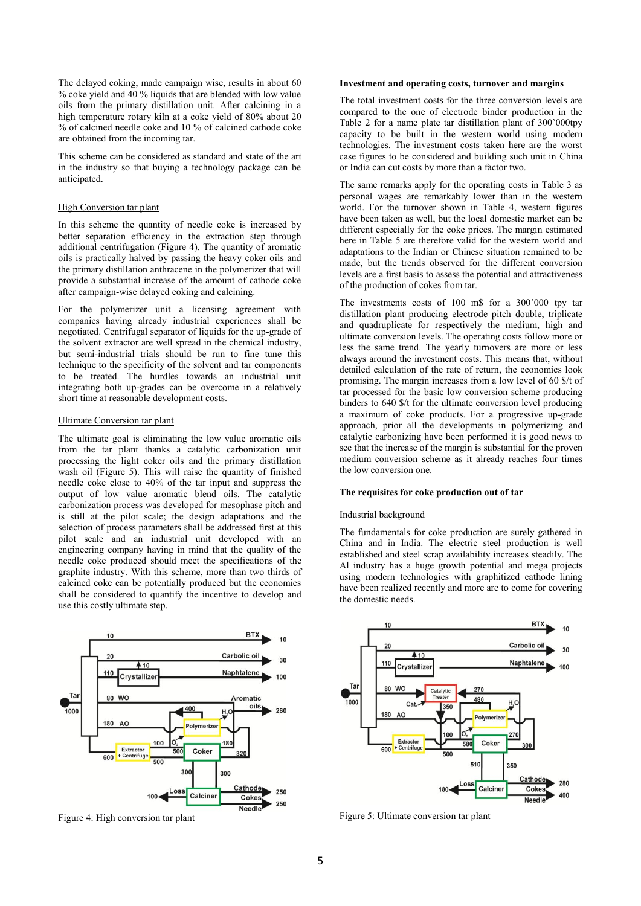The delayed coking, made campaign wise, results in about 60 % coke yield and 40 % liquids that are blended with low value oils from the primary distillation unit. After calcining in a high temperature rotary kiln at a coke yield of 80% about 20 % of calcined needle coke and 10 % of calcined cathode coke are obtained from the incoming tar.

This scheme can be considered as standard and state of the art in the industry so that buying a technology package can be anticipated.

## High Conversion tar plant

In this scheme the quantity of needle coke is increased by better separation efficiency in the extraction step through additional centrifugation (Figure 4). The quantity of aromatic oils is practically halved by passing the heavy coker oils and the primary distillation anthracene in the polymerizer that will provide a substantial increase of the amount of cathode coke after campaign-wise delayed coking and calcining.

For the polymerizer unit a licensing agreement with companies having already industrial experiences shall be negotiated. Centrifugal separator of liquids for the up-grade of the solvent extractor are well spread in the chemical industry, but semi-industrial trials should be run to fine tune this technique to the specificity of the solvent and tar components to be treated. The hurdles towards an industrial unit integrating both up-grades can be overcome in a relatively short time at reasonable development costs.

### Ultimate Conversion tar plant

The ultimate goal is eliminating the low value aromatic oils from the tar plant thanks a catalytic carbonization unit processing the light coker oils and the primary distillation wash oil (Figure 5). This will raise the quantity of finished needle coke close to 40% of the tar input and suppress the output of low value aromatic blend oils. The catalytic carbonization process was developed for mesophase pitch and is still at the pilot scale; the design adaptations and the selection of process parameters shall be addressed first at this pilot scale and an industrial unit developed with an engineering company having in mind that the quality of the needle coke produced should meet the specifications of the graphite industry. With this scheme, more than two thirds of calcined coke can be potentially produced but the economics shall be considered to quantify the incentive to develop and use this costly ultimate step.



Figure 4: High conversion tar plant

#### **Investment and operating costs, turnover and margins**

The total investment costs for the three conversion levels are compared to the one of electrode binder production in the Table 2 for a name plate tar distillation plant of 300'000tpy capacity to be built in the western world using modern technologies. The investment costs taken here are the worst case figures to be considered and building such unit in China or India can cut costs by more than a factor two.

The same remarks apply for the operating costs in Table 3 as personal wages are remarkably lower than in the western world. For the turnover shown in Table 4, western figures have been taken as well, but the local domestic market can be different especially for the coke prices. The margin estimated here in Table 5 are therefore valid for the western world and adaptations to the Indian or Chinese situation remained to be made, but the trends observed for the different conversion levels are a first basis to assess the potential and attractiveness of the production of cokes from tar.

The investments costs of 100 m\$ for a 300'000 tpy tar distillation plant producing electrode pitch double, triplicate and quadruplicate for respectively the medium, high and ultimate conversion levels. The operating costs follow more or less the same trend. The yearly turnovers are more or less always around the investment costs. This means that, without detailed calculation of the rate of return, the economics look promising. The margin increases from a low level of 60 \$/t of tar processed for the basic low conversion scheme producing binders to 640 \$/t for the ultimate conversion level producing a maximum of coke products. For a progressive up-grade approach, prior all the developments in polymerizing and catalytic carbonizing have been performed it is good news to see that the increase of the margin is substantial for the proven medium conversion scheme as it already reaches four times the low conversion one.

### **The requisites for coke production out of tar**

## Industrial background

The fundamentals for coke production are surely gathered in China and in India. The electric steel production is well established and steel scrap availability increases steadily. The Al industry has a huge growth potential and mega projects using modern technologies with graphitized cathode lining have been realized recently and more are to come for covering the domestic needs.



Figure 5: Ultimate conversion tar plant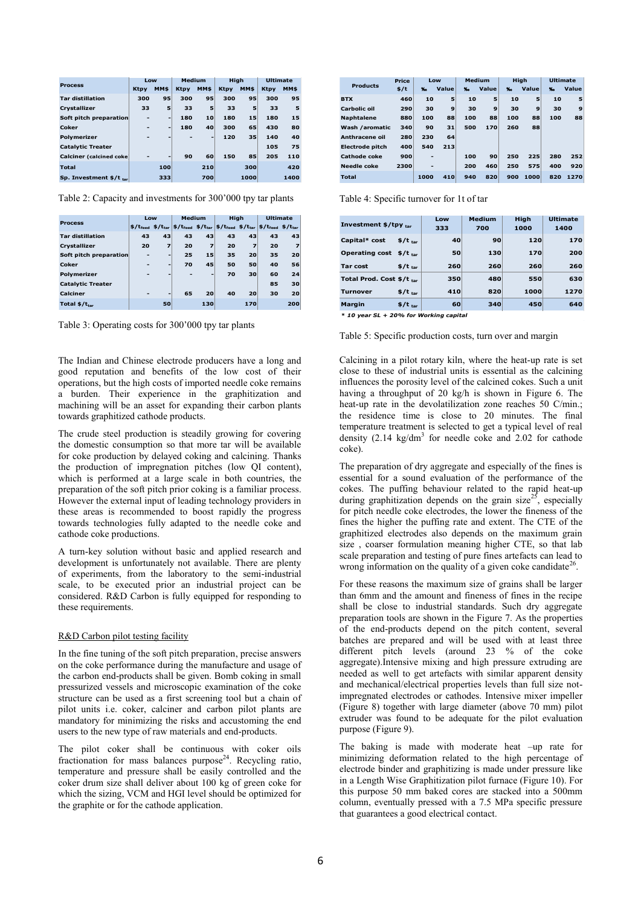|                                 | Low         |                          | Medium      |                 | <b>High</b> |      | <b>Ultimate</b> |      |  |
|---------------------------------|-------------|--------------------------|-------------|-----------------|-------------|------|-----------------|------|--|
| <b>Process</b>                  | <b>Ktpy</b> | MM\$                     | <b>Ktpy</b> | MM\$            | <b>Ktpy</b> | MM\$ | <b>Ktpy</b>     | MM\$ |  |
| <b>Tar distillation</b>         | 300         | 95                       | 300         | 95              | 300         | 95   | 300             | 95   |  |
| <b>Crystallizer</b>             | 33          | 5                        | 33          | 5               | 33          | 5    | 33              | 5    |  |
| Soft pitch preparation          | -           | $\overline{\phantom{a}}$ | 180         | 10 <sub>1</sub> | 180         | 15   | 180             | 15   |  |
| Coker                           |             | $\overline{\phantom{a}}$ | 180         | 40              | 300         | 65   | 430             | 80   |  |
| <b>Polymerizer</b>              | -           | $\overline{\phantom{0}}$ |             | -               | 120         | 35   | 140             | 40   |  |
| <b>Catalytic Treater</b>        |             |                          |             |                 |             |      | 105             | 75   |  |
| <b>Calciner</b> (calcined coke) |             | -                        | 90          | 60              | 150         | 85   | 205             | 110  |  |
| <b>Total</b>                    |             | 100                      |             | 210             |             | 300  |                 | 420  |  |
| Sp. Investment $$/t_{tar}$      |             | 333                      |             | 700             |             | 1000 |                 | 1400 |  |

Table 2: Capacity and investments for 300'000 tpy tar plants

|                          | Low |                          | Medium |                          | High |                         | <b>Ultimate</b>                                                                                                                                                    |     |  |
|--------------------------|-----|--------------------------|--------|--------------------------|------|-------------------------|--------------------------------------------------------------------------------------------------------------------------------------------------------------------|-----|--|
| <b>Process</b>           |     |                          |        |                          |      |                         | $\frac{1}{2}$ \$/t <sub>teed</sub> \$/t <sub>tar</sub>   \$/t <sub>tar</sub>   \$/t <sub>feed</sub> \$/t <sub>tar</sub>   \$/t <sub>feed</sub> \$/t <sub>tar</sub> |     |  |
| <b>Tar distillation</b>  | 43  | 43                       | 43     | 43                       | 43   | 43                      | 43                                                                                                                                                                 | 43  |  |
| Crystallizer             | 20  | 7                        | 20     | $\overline{ }$           | 20   | $\overline{\mathbf{z}}$ | 20                                                                                                                                                                 | 7   |  |
| Soft pitch preparation   | ۰   | $\overline{\phantom{a}}$ | 25     | 15                       | 35   | 20                      | 35                                                                                                                                                                 | 20  |  |
| Coker                    | -   | -                        | 70     | 45 <sup>1</sup>          | 50   | 50                      | 40                                                                                                                                                                 | 56  |  |
| Polymerizer              | -   | -                        |        | $\overline{\phantom{a}}$ | 70   | 30                      | 60                                                                                                                                                                 | 24  |  |
| <b>Catalytic Treater</b> |     |                          |        |                          |      |                         | 85                                                                                                                                                                 | 30  |  |
| Calciner                 |     | $\overline{\phantom{0}}$ | 65     | 20                       | 40   | 20                      | 30                                                                                                                                                                 | 20  |  |
| Total $$/t_{tar}$        |     | 50                       |        | 130                      |      | 170                     |                                                                                                                                                                    | 200 |  |

Table 3: Operating costs for 300'000 tpy tar plants

The Indian and Chinese electrode producers have a long and good reputation and benefits of the low cost of their operations, but the high costs of imported needle coke remains a burden. Their experience in the graphitization and machining will be an asset for expanding their carbon plants towards graphitized cathode products.

The crude steel production is steadily growing for covering the domestic consumption so that more tar will be available for coke production by delayed coking and calcining. Thanks the production of impregnation pitches (low QI content), which is performed at a large scale in both countries, the preparation of the soft pitch prior coking is a familiar process. However the external input of leading technology providers in these areas is recommended to boost rapidly the progress towards technologies fully adapted to the needle coke and cathode coke productions.

A turn-key solution without basic and applied research and development is unfortunately not available. There are plenty of experiments, from the laboratory to the semi-industrial scale, to be executed prior an industrial project can be considered. R&D Carbon is fully equipped for responding to these requirements.

## R&D Carbon pilot testing facility

In the fine tuning of the soft pitch preparation, precise answers on the coke performance during the manufacture and usage of the carbon end-products shall be given. Bomb coking in small pressurized vessels and microscopic examination of the coke structure can be used as a first screening tool but a chain of pilot units i.e. coker, calciner and carbon pilot plants are mandatory for minimizing the risks and accustoming the end users to the new type of raw materials and end-products.

The pilot coker shall be continuous with coker oils fractionation for mass balances purpose<sup>24</sup>. Recycling ratio, temperature and pressure shall be easily controlled and the coker drum size shall deliver about 100 kg of green coke for which the sizing, VCM and HGI level should be optimized for the graphite or for the cathode application.

| <b>Products</b>        | <b>Price</b> | Low            |       | Medium |       | High           |       | <b>Ultimate</b> |       |  |
|------------------------|--------------|----------------|-------|--------|-------|----------------|-------|-----------------|-------|--|
|                        | \$/t         | $\mathbf{x}_0$ | Value | х.     | Value | $\mathbf{x}_n$ | Value | $\mathbf{v}_0$  | Value |  |
| <b>BTX</b>             | 460          | 10             | 5     | 10     | 5     | 10             | 5     | 10              | 5     |  |
| Carbolic oil           | 290          | 30             | 9     | 30     | 9     | 30             | 9     | 30              | 9     |  |
| <b>Naphtalene</b>      | 880          | 100            | 88    | 100    | 88    | 100            | 88    | 100             | 88    |  |
| Wash /aromatic         | 340          | 90             | 31    | 500    | 170   | 260            | 88    |                 |       |  |
| Anthracene oil         | 280          | 230            | 64    |        |       |                |       |                 |       |  |
| <b>Electrode pitch</b> | 400          | 540            | 213   |        |       |                |       |                 |       |  |
| Cathode coke           | 900          | -              |       | 100    | 90    | 250            | 225   | 280             | 252   |  |
| Needle coke            | 2300         | -              |       | 200    | 460   | 250            | 575   | 400             | 920   |  |
| <b>Total</b>           |              | 1000           | 410   | 940    | 820   | 900            | 1000  | 820             | 1270  |  |

Table 4: Specific turnover for 1t of tar

| Investment $$/$ tpy tar                      | Low<br>333 | <b>Medium</b><br>700 | High<br>1000 | <b>Ultimate</b><br>1400 |
|----------------------------------------------|------------|----------------------|--------------|-------------------------|
| Capital* cost<br>$$/t_{tar}$                 | 40         | 90                   | 120          | 170                     |
| <b>Operating cost</b><br>$$/t_{\text{tar}}$$ | 50         | 130                  | 170          | 200                     |
| Tar cost<br>$$/t_{tar}$                      | 260        | 260                  | 260          | 260                     |
| Total Prod. Cost \$/t tar                    | 350        | 480                  | 550          | 630                     |
| $$/t_{tar}$<br>Turnover                      | 410        | 820                  | 1000         | 1270                    |
| Margin<br>$$/t_{tar}$                        | 60         | 340                  | 450          | 640                     |

*\* 10 year SL + 20% for Working capital*

#### Table 5: Specific production costs, turn over and margin

Calcining in a pilot rotary kiln, where the heat-up rate is set close to these of industrial units is essential as the calcining influences the porosity level of the calcined cokes. Such a unit having a throughput of 20 kg/h is shown in Figure 6. The heat-up rate in the devolatilization zone reaches 50 C/min.; the residence time is close to 20 minutes. The final temperature treatment is selected to get a typical level of real density  $(2.14 \text{ kg/dm}^3)$  for needle coke and  $2.02$  for cathode coke).

The preparation of dry aggregate and especially of the fines is essential for a sound evaluation of the performance of the cokes. The puffing behaviour related to the rapid heat-up during graphitization depends on the grain size<sup>25</sup>, especially for pitch needle coke electrodes, the lower the fineness of the fines the higher the puffing rate and extent. The CTE of the graphitized electrodes also depends on the maximum grain size , coarser formulation meaning higher CTE, so that lab scale preparation and testing of pure fines artefacts can lead to wrong information on the quality of a given coke candidate<sup>26</sup> .

For these reasons the maximum size of grains shall be larger than 6mm and the amount and fineness of fines in the recipe shall be close to industrial standards. Such dry aggregate preparation tools are shown in the Figure 7. As the properties of the end-products depend on the pitch content, several batches are prepared and will be used with at least three different pitch levels (around 23 % of the coke aggregate).Intensive mixing and high pressure extruding are needed as well to get artefacts with similar apparent density and mechanical/electrical properties levels than full size notimpregnated electrodes or cathodes. Intensive mixer impeller (Figure 8) together with large diameter (above 70 mm) pilot extruder was found to be adequate for the pilot evaluation purpose (Figure 9).

The baking is made with moderate heat -up rate for minimizing deformation related to the high percentage of electrode binder and graphitizing is made under pressure like in a Length Wise Graphitization pilot furnace (Figure 10). For this purpose 50 mm baked cores are stacked into a 500mm column, eventually pressed with a 7.5 MPa specific pressure that guarantees a good electrical contact.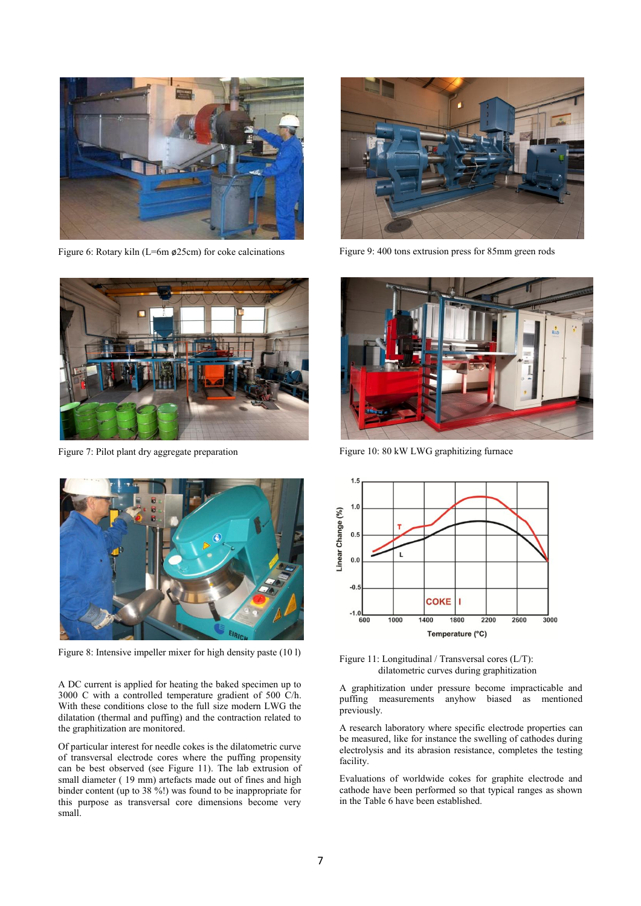

Figure 6: Rotary kiln (L=6m ø25cm) for coke calcinations



Figure 7: Pilot plant dry aggregate preparation



Figure 8: Intensive impeller mixer for high density paste (10 l)

A DC current is applied for heating the baked specimen up to 3000 C with a controlled temperature gradient of 500 C/h. With these conditions close to the full size modern LWG the dilatation (thermal and puffing) and the contraction related to the graphitization are monitored.

Of particular interest for needle cokes is the dilatometric curve of transversal electrode cores where the puffing propensity can be best observed (see Figure 11). The lab extrusion of small diameter (19 mm) artefacts made out of fines and high binder content (up to 38 %!) was found to be inappropriate for this purpose as transversal core dimensions become very small.



Figure 9: 400 tons extrusion press for 85mm green rods



Figure 10: 80 kW LWG graphitizing furnace



Figure 11: Longitudinal / Transversal cores (L/T): dilatometric curves during graphitization

A graphitization under pressure become impracticable and puffing measurements anyhow biased as mentioned previously.

A research laboratory where specific electrode properties can be measured, like for instance the swelling of cathodes during electrolysis and its abrasion resistance, completes the testing facility.

Evaluations of worldwide cokes for graphite electrode and cathode have been performed so that typical ranges as shown in the Table 6 have been established.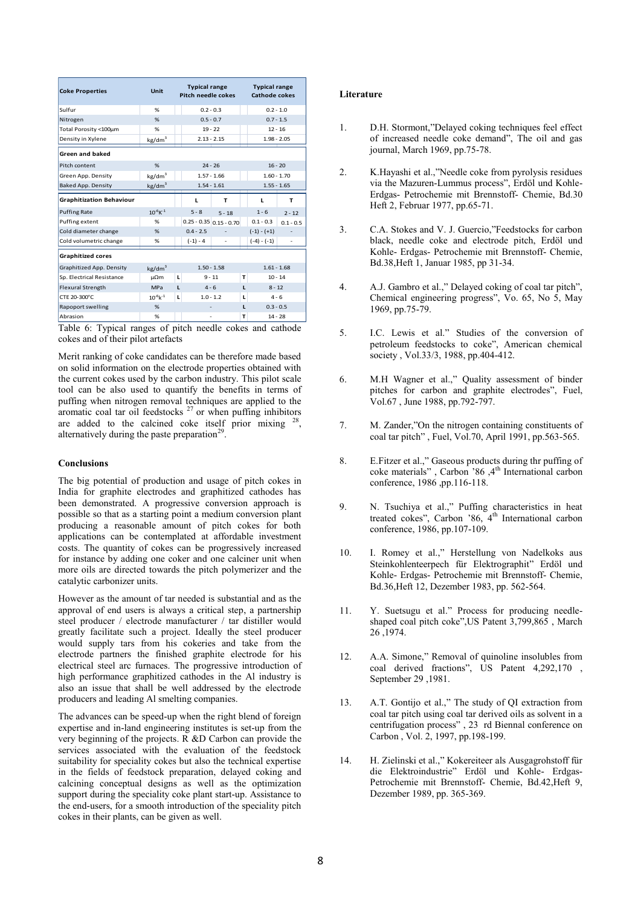| <b>Coke Properties</b>          | <b>Unit</b>         |   | <b>Typical range</b><br><b>Pitch needle cokes</b> |                               |   | <b>Typical range</b><br><b>Cathode cokes</b> |               |  |
|---------------------------------|---------------------|---|---------------------------------------------------|-------------------------------|---|----------------------------------------------|---------------|--|
| Sulfur                          | %                   |   | $0.2 - 0.3$                                       |                               |   | $0.2 - 1.0$                                  |               |  |
| Nitrogen                        | %                   |   | $0.5 - 0.7$                                       |                               |   | $0.7 - 1.5$                                  |               |  |
| Total Porosity <100um           | %                   |   |                                                   | $19 - 22$                     |   |                                              | $12 - 16$     |  |
| Density in Xylene               | kg/dm <sup>3</sup>  |   |                                                   | $2.13 - 2.15$                 |   |                                              | $1.98 - 2.05$ |  |
| <b>Green and baked</b>          |                     |   |                                                   |                               |   |                                              |               |  |
| Pitch content                   | %                   |   |                                                   | $24 - 26$                     |   | $16 - 20$                                    |               |  |
| Green App. Density              | kg/dm <sup>3</sup>  |   | $1.57 - 1.66$                                     |                               |   | $1.60 - 1.70$                                |               |  |
| <b>Baked App. Density</b>       | kg/dm <sup>3</sup>  |   | $1.54 - 1.61$                                     |                               |   | $1.55 - 1.65$                                |               |  |
| <b>Graphitization Behaviour</b> |                     |   | L                                                 | т                             |   | L                                            | т             |  |
| <b>Puffing Rate</b>             | $10^{-6}$ K $^{-1}$ |   | $5 - 8$                                           | $5 - 18$                      |   | $1 - 6$                                      | $2 - 12$      |  |
| Puffing extent                  | %                   |   |                                                   | $0.25 - 0.35   0.15 - 0.70  $ |   | $0.1 - 0.3$                                  | $0.1 - 0.5$   |  |
| Cold diameter change            | %                   |   | $0.4 - 2.5$                                       |                               |   | $(-1) - (+1)$                                |               |  |
| Cold volumetric change          | %                   |   | $(-1) - 4$                                        |                               |   | $(-4) - (-1)$                                | ٠             |  |
| <b>Graphitized cores</b>        |                     |   |                                                   |                               |   |                                              |               |  |
| Graphitized App. Density        | kg/dm <sup>3</sup>  |   |                                                   | $1.50 - 1.58$                 |   | $1.61 - 1.68$                                |               |  |
| Sp. Electrical Resistance       | μΩm                 | L |                                                   | $9 - 11$                      | т | $10 - 14$                                    |               |  |
| <b>Flexural Strength</b>        | MPa                 | L | $4 - 6$<br>L                                      |                               |   | $8 - 12$                                     |               |  |
| CTE 20-300°C                    | $10^{-6}$ k $^{-1}$ | L | $1.0 - 1.2$<br>L                                  |                               |   | $4 - 6$                                      |               |  |
| Rapoport swelling               | %                   |   | L                                                 |                               |   | $0.3 - 0.5$                                  |               |  |
| Abrasion                        | %                   |   |                                                   |                               | т |                                              | $14 - 28$     |  |

Table 6: Typical ranges of pitch needle cokes and cathode cokes and of their pilot artefacts

Merit ranking of coke candidates can be therefore made based on solid information on the electrode properties obtained with the current cokes used by the carbon industry. This pilot scale tool can be also used to quantify the benefits in terms of puffing when nitrogen removal techniques are applied to the aromatic coal tar oil feedstocks  $27$  or when puffing inhibitors are added to the calcined coke itself prior mixing  $28$ .<br>, alternatively during the paste preparation<sup>29</sup>.

## **Conclusions**

The big potential of production and usage of pitch cokes in India for graphite electrodes and graphitized cathodes has been demonstrated. A progressive conversion approach is possible so that as a starting point a medium conversion plant producing a reasonable amount of pitch cokes for both applications can be contemplated at affordable investment costs. The quantity of cokes can be progressively increased for instance by adding one coker and one calciner unit when more oils are directed towards the pitch polymerizer and the catalytic carbonizer units.

However as the amount of tar needed is substantial and as the approval of end users is always a critical step, a partnership steel producer / electrode manufacturer / tar distiller would greatly facilitate such a project. Ideally the steel producer would supply tars from his cokeries and take from the electrode partners the finished graphite electrode for his electrical steel arc furnaces. The progressive introduction of high performance graphitized cathodes in the Al industry is also an issue that shall be well addressed by the electrode producers and leading Al smelting companies.

The advances can be speed-up when the right blend of foreign expertise and in-land engineering institutes is set-up from the very beginning of the projects. R &D Carbon can provide the services associated with the evaluation of the feedstock suitability for speciality cokes but also the technical expertise in the fields of feedstock preparation, delayed coking and calcining conceptual designs as well as the optimization support during the speciality coke plant start-up. Assistance to the end-users, for a smooth introduction of the speciality pitch cokes in their plants, can be given as well.

# **Literature**

- 1. D.H. Stormont,"Delayed coking techniques feel effect of increased needle coke demand", The oil and gas journal, March 1969, pp.75-78.
- 2. K.Hayashi et al.,"Needle coke from pyrolysis residues via the Mazuren-Lummus process", Erdöl und Kohle-Erdgas- Petrochemie mit Brennstoff- Chemie, Bd.30 Heft 2, Februar 1977, pp.65-71.
- 3. C.A. Stokes and V. J. Guercio,"Feedstocks for carbon black, needle coke and electrode pitch, Erdöl und Kohle- Erdgas- Petrochemie mit Brennstoff- Chemie, Bd.38,Heft 1, Januar 1985, pp 31-34.
- 4. A.J. Gambro et al.," Delayed coking of coal tar pitch", Chemical engineering progress", Vo. 65, No 5, May 1969, pp.75-79.
- 5. I.C. Lewis et al." Studies of the conversion of petroleum feedstocks to coke", American chemical society , Vol.33/3, 1988, pp.404-412.
- 6. M.H Wagner et al.," Quality assessment of binder pitches for carbon and graphite electrodes", Fuel, Vol.67 , June 1988, pp.792-797.
- 7. M. Zander,"On the nitrogen containing constituents of coal tar pitch" , Fuel, Vol.70, April 1991, pp.563-565.
- 8. E.Fitzer et al.," Gaseous products during thr puffing of coke materials", Carbon '86, 4<sup>th</sup> International carbon conference, 1986 ,pp.116-118.
- 9. N. Tsuchiya et al.," Puffing characteristics in heat treated cokes", Carbon '86, 4<sup>th</sup> International carbon conference, 1986, pp.107-109.
- 10. I. Romey et al.," Herstellung von Nadelkoks aus Steinkohlenteerpech für Elektrographit" Erdöl und Kohle- Erdgas- Petrochemie mit Brennstoff- Chemie, Bd.36,Heft 12, Dezember 1983, pp. 562-564.
- 11. Y. Suetsugu et al." Process for producing needleshaped coal pitch coke",US Patent 3,799,865 , March 26 ,1974.
- 12. A.A. Simone," Removal of quinoline insolubles from coal derived fractions", US Patent 4,292,170 , September 29 ,1981.
- 13. A.T. Gontijo et al.," The study of QI extraction from coal tar pitch using coal tar derived oils as solvent in a centrifugation process" , 23 rd Biennal conference on Carbon , Vol. 2, 1997, pp.198-199.
- 14. H. Zielinski et al.," Kokereiteer als Ausgagrohstoff für die Elektroindustrie" Erdöl und Kohle- Erdgas-Petrochemie mit Brennstoff- Chemie, Bd.42,Heft 9, Dezember 1989, pp. 365-369.